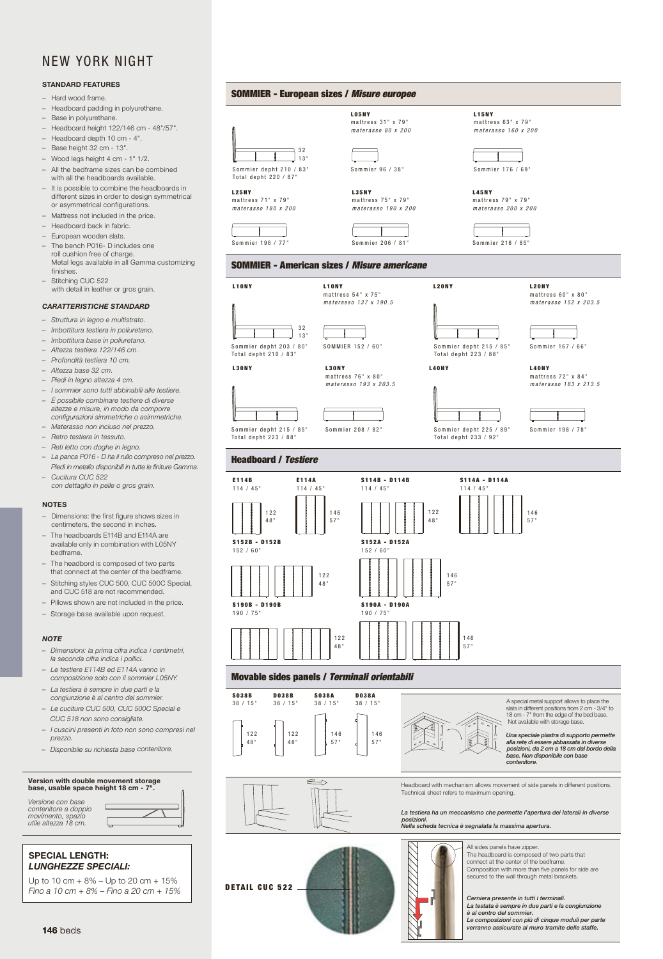#### NEW YORK NIGHT NEW YORK NIGHT NEW YORK NIGHT NEW YORK NIGHT STANDARD FEATURES standard features and the state of the state of the state of the state of the state of the state of the state of the state of the state of the state of the state of the state of the state of the state of the state of the s

#### STANDARD FEATURES

- Hard wood frame. Hard wood frame. Hard wood frame. Headboard padding in polyurethane. Headboard padding in polyurethane. Headboard padding in polyurethane. Headboard padding in polyurethane. Hard wood frame.
- Headboard padding in polyurethane.
- Base in polyurethane.
- Headboard height 122/146 cm 48"/57".
- Headboard depth 10 cm 4". Headboard depth 10 cm 4". - Headboard depth 10 cm - 4".
- Wood legs height 4 cm 2". Base height 28 cm 11". Wood legs height 4 cm 2 ". Wood legs height 4 cm 2 ". Wood legs height 4 cm 2 ". Base height 32 cm 13".
- Wood legs height 4 cm 2". –Base height 28 cm 11". Wood legs height 4 cm 2". –Base height 28 cm 11".  $-$  wood legs height 4 cm  $-$  1  $\frac{1}{2}$ . – Wood legs height 4 cm - 2 ". – Wood legs height 4 cm - 1" 1/2.
- All the bedframe sizes can I  $\frac{1}{2}$  $-$  All the bedframe sizes can be combined.  $-$  All the bealtance sizes can be – All the bedframe sizes can be combined – All the bedframe sizes can be combined
- with all the headboards available. - It is possible to combine the headboards in different sizes in order to design symmetrical
- different sizes in order to design symmetrical configurations. or asymmetrical configurations.
- Mattress not included in the price.
- Headboard back in fabric.
- Mattress not included in the price. Mattress not included in the price. European wooden slats.
- The bench P016- D includes one roll cushion free of charge.<br>1922. Late legal cushishing CUC – Stitching CUC 522. – Stitching CUC 522. – Stitching CUC 522. finishes. Metal legs available in all Gamma customizing
- with detail in leather or gros grain. *CARATTERISTICHE STANDARD CARATTERISTICHE STANDARD CARATTERISTICHE STANDARD CARATTERISTICHE STANDARD* – Stitching CUC 522

## **CARATTERISTICHE STANDARD**

- Struttura in legno e multistrato.
- Suuttura in regno e muiustrato.<br>- Imbottitura testiera in poliuretano.
- Imbottitura base in poliuretano.
- Altezza testiera 122/146 cm.
- *– Piedi in legno altezza 4 cm. – Altezza base 28 cm.*
- *– Piedi in legno altezza 4 cm. – Piedi in legno altezza 4 cm. – I sommier sono tutti abbinabili alle testate. – I sommier sono tutti abbinabili alle testate. –I sommier sono tutti abbinabili alle testate. – I sommier sono tutti abbinabili alle testate. – Profondità testiera 10 cm.*
- Artezza pase 32 cm.<br>– Piedi in legno altezza 4 cm. *– E' possibile combinare testate di diverse – E' possibile combinare testate di diverse – Altezza base 32 cm. – E' possibile combinare testate di diverse*
- I sommier sono tutti abbinabili alle testiere. - È possibile combinare testiere di diverse *altezze e misure, in modo da comporre altezze e misure, in modo da comporre – Piedi in legno altezza 4 cm.*
- L' possible combinate testiere di diverse<br>altezze e misure, in modo da comporre configurazioni simmetriche o asimmetriche.
- Materasso non incluso nel prezzo.
- *– Retro testiera in tessuto.* - Retro testiera in tessuto.
- *– Reti letto con doghe in legno. – Reti letto con doghe in legno.*
- *– Cucitura CUC 522. – Cucitura CUC 522. – Cucitura CUC 522.* NOTES NOTES NOTES NOTES *– La panca P016 D ha il rullo compreso nel prezzo.* - Cucitura CUC 522 Piedi in metallo disponibili in tutte le finiture Gamma. sizes in centimeters, the second in sizes in centimeters, the second in sizes in centimeters, the second in *– Cucitura CUC 522*
- sizes in centimeters, the second in Dimensions: the first figure shows Dimensions: the first figure shows size in actual to the second in the second in the second in the second in the second in the second in the second in the second in the second in the second in the second in the second in the second in the second in the seco  $\frac{1}{\epsilon}$  $\mathcal{L}_{\mathcal{A}}$  and  $\mathcal{L}_{\mathcal{A}}$  and  $\mathcal{L}_{\mathcal{A}}$ inches. inches. inches.  *con dettaglio in pelle o gros grain.*  $\sim$   $\sim$   $\sim$   $\sim$

#### **The head boards E114A and E114A and E114A and E114A and E114A and E114A and E114A and E114A and E114A** The head boards E114A and E114A and E114A and E114A and E114A and E114A and E114A and E114A and E114A and E114A with L<sub>05</sub>NY bedframe.<br>Are available only in combination on local combination on the combination only in combination on the combinati are available only in combination with L<sub>05</sub>N<sub>3</sub> are available only in combination

- Dimensions: the first figure show centimeters, the second in inches. – Dimensions: the first figure shows sizes in<br>— The head of two parts is composed of two parts in two parts in the second is two parts in the s wotes<br>- Dimensions: the first figure shows sizes in
- that composed of the connection of the center of the beadboards E114B and E114A are the headboards of the and only in composition with L05N available only in combination with L05N mended.<br>bedframe. that connected at the center of the center of the center of the bedframe. available only in combination with L05NY<br>bodframe
- The rieadbord is composed of two parts<br>that connect at the center of the bedframe. - The headbord is composed of two parts
- Stitching styles CUC 500, CUC 5 – Stitching styles CUC 500, CUC 500C Special,<br>
– start CUC 512 available upon request de la and CUC 518 are not recommended.
- and ooo old aronomooommone **-** Pillows shown are not included in the price.
- $\overline{\phantom{a}}$  Storage has *– Dimensioni: la prima cifra indica – Dimensioni: la prima cifra indica* <sup>1</sup> move chown are not included in the<br>
– Storage base available upon request.

### *– Dimensioni: la prima cifra indica – Dimensioni: la prima cifra indica indica i pollici. indica i pollici. NOTE*

–

*NOTE*

–

*i centimetri, la seconda cifra indica indication poimensio – Le testate E114B ed E114A vanno – Le testate E114B ed E114A vanno – Le testiere E114B ed E114A vanno in – Dimensioni: la prima cifra indica* - Dimensioni: la prima cifra indica i centimetri, la seconda cifra indica i pollici.

*– La testata è sempre in due parti e* 

*– La testata è sempre in due parti e* 

*in composizione solo con il sommier L05NY. – Le testate E114B ed E114A vanno* 

*in composizione solo con il sommier L05NY. in composizione solo con il sommier L05NY. – La testata è sempre in due parti e* 

*la congiunzione è al centro del sommier.* 

*la congiunzione è al centro del sommier.* 

 $-$  La testiera è sempre in due parti e la<br>consignatione è el sentre del semmier congiunzione è al centro del sommier. - Le cuciture CUC 500, CUC 500C Special e

CUC 518 non sono consigliate.

*– I cuscini presenti in foto non sono – Disponibile su richiesta base contenitore.contenitore, con supplemento 660 € compresi nel prezzo. compresi nel prezzo. compresi nel prezzo. prezzo.*

*compresi nel prezzo.*

Version with double movement storage base, usable space height 18 cm - 7".

base, usable space here is a construction of the space of the space of the space of the space of the space of

base, usable space here is a construction of the space of the space of the space of the space of the space of

- I cuscini presenti in foto non sono compresi nel

*la congiunzione è al centro del sommier. – La testata è sempre in due parti e la congiunzione è al centro del sommier. composizione solo con il sommier L05NY.*



Headboard with mechanism allows movement of side panels in different positions. Technical sheet refers to maximum opening. in different positions. Technical sheet refers to maximum opening. in different positions. Technical sheet refers to maximum opening.

La testiera ha un meccanismo che permette l'apertura dei laterali in diverse the base of the base. La testiera ha un meccanismo che permette l'apertura dei lateral in different positions. Technical sheet refers to maximum opening.



 $\bigvee$  All sides panels have zipper.  $\begin{bmatrix} 18 \\ 18 \\ 1 \end{bmatrix}$  The headboard is composed of two parts that  $\sum$  secured permette alla rete di essere permette alla rete di essere connect at the center of the bedframe. Composition with more than five panels for side are secured to the wall through metal brackets.

Una speciale piastra di supporto abbassata in diverse posizioni, **da 2 c** Cerniera presente in tutti i terminali.<br>La testata è sempre in due parti e la congiunzione abbassata in diverse posizioni,  *è al centro del sommier.* 

**146** beds beds beds beds beds beds beds and the defender of the set of the set of the set of the set of the set of the set of the set of the set of the set of the set of the set of the set of the set of the set of the set e al centro del sommier. A la centro del sommier. A la centro del sommier. A la centro del sommier. A la centro del sommier. A la centro del sommier. A la centro del sommier. A la centro del sommiere del sommiere del sommi  $\frac{1}{2}$  be defined by the second property of  $\frac{1}{2}$  beds beds to the second beds for the second beds beds to be definitions and the second beds for the second beds for the second beds for the second beds for the seco  $\blacksquare$  and  $\blacksquare$  and  $\blacksquare$  and  $\blacksquare$  and  $\blacksquare$  and  $\blacksquare$  and  $\blacksquare$  and  $\blacksquare$  and  $\blacksquare$  and  $\blacksquare$  and  $\blacksquare$  and  $\blacksquare$  and  $\blacksquare$  and  $\blacksquare$  and  $\blacksquare$  and  $\blacksquare$  and  $\blacksquare$  and  $\blacksquare$  and  $\blacksquare$  and  $\blacksquare$  and a composition de succession con publication de la composition de la composition de la composition de la composition de la composition de la composition de la composition de la composition de la composition de la compositio  *Le composizioni con più di cinque moduli per parte verranno assicurate al muro tramite delle staffe.*

128 beds beds 129

Total depht 223 / 88" sommier DEPTH 215 - 85'' Sommier depht 215 / 85" Somr

L25NY mattress 71 " x 79 " *materasso 180 x 200*

 $m$ attress  $7100 \times 29$ materasso 180 x 200

 $m$ attress  $71'$   $\times 79'$ *materasso 180 x 200*

*mattress* 71" x 79"

*mattress* 71" x 79"

----<br>-----

Total depht 220 / 87"

**L25NY**<br>mattress 71" x 79"

Sommier 196 / 77 " sommier 196 - 77" sommier 196 - 77"

sommier 196 - 77"

الى مستقلة المستقل

125NY<br>
mattress 71" x 79"<br>
materasso 180 x 200<br>
materasso 180 x 200<br>
Sommier 196 / 77"<br>
SOMMIER – America<br>
190 x<br>
Total depht 203 / 80"<br>
Total depht 210 / 83"

 $\mathbb{M}$   $\mathbb{M}$  are  $\mathbb{M}$ 

sommier 196 - 77"

*materasso 180 x 200*

sommier 196 - 77"

L10NY L10NY

Sommier depht 203 / 80" SOMM<br>-Total depht 210 / 83"

 $\mathbb{R}$ 

 $\blacksquare$ 

L30NY L30NY

 $L30NY$ 

sommier 156 - 61 august 156 - 61 august 156 - 61 august 156 - 61 august 156 - 61 august 156 august 157 august<br>Sommier 156 - 61 august 157 august 157 august 158 august 158 august 158 august 158 august 158 august 158 augus

mattress 76 " x 80 " L30NY L30NY L30NY L30NY L30NY L30NY L30NY L30NY



SOMMIER - European sizes / *Misure europee* SOMMIER - European sizes / *Misure europee* SOMMIER - European sizes /*Misure europee* SOMMIER - European sizes / *Misure europee* L15 L15 L15 L15

SOMMIER - European sizes / *Misure europee*

SOMMIER - European sizes / *Misure europee*

SOMMIER - European sizes / *Misure europee*

SOMMIER - European sizes / *Misure europee*

Sommier depht 210 / 83" Sommier 96 / 38"

 $\parallel$  depth  $\parallel$  38'' sommier 96 - 38'' sommier 96 - 38'' sommier 96 - 38'' sommier 96 - 38'' sommier 96 - 38'' som

 $\mathbb{V}$  if 13" is not an

32  $13"$ 

 $\overline{2}$   $\overline{2}$ LOSNY<br>
matter<br>
matter<br>
mater:<br>
mater:<br>
32<br>
13<br>
Sommier depht 210 / 83<br>
Total depht 220 / 87<br>
L25NY<br>
135NY<br>
135NY

3 2

LUSH<br>
matter<br>
matter<br>
matter<br>
matter<br>
matter<br>
matter<br>
distributions<br>
Total depht 220 / 87"<br>
L35NY<br>
L35NY<br>
L35NY<br>
L35NY<br>
L35NY<br>
L35NY<br>
L35NY

L05NY mattress 31 " x 79 " mattress 31''x79'' *materasso 80 x 200 m a teras s o 80 x 200* mattress 63" x 79" *m a teras s o 80 x 200* mattress 63" x 79" *m a teras s o 80 x 200*

L 0 5NY

L 0 5NY

sommier Depth 96 - 38'' sommier 96 - 38'' sommier 96 - 38'' sommier 96 - 38'' sommier 96 - 38'' sommier 96 - 38

sommier D $\vert$  13" sommier 96 - 38'' sommier 96 - 38'' sommier 96 - 38'' sommier 96 - 38'' sommier 96 - 38'' som

L15

materasso 160 x 200

L 0 5NY

L 0 5NY

LO5NY<br>mattress 31" x 79"

materasso 160 x 200

 $L35NY'$ mattress 75 " x 79 " L35NY L35NY *materasso 190 x 200 materasso 190 x 200 materasso 190 x 200 materasso 190 x 200* materasso 190 x 200

*201 79" 201 79"*

*201*

materasso 190 x 200

 $m$ attress 75''x79'' *materasso 190 x 200*

Sommier 206 / 81 " sommier 206 - 81" sommier 206 - 81"

 $0.777778$ m aterass o 137 x 190.5

sommier 206 - 81"

sommier 206 - 81"

sommier 206 - 81"

sommier 206 - 81"

 $L15NY$ mattress 63 " x 79 " L15 NY mattress 63''x79'' mattress 63''x 19'''

L15 NY mattress 63''x79'' *m a teras s o 160 x 200 m a teras s o 160 x 200 m a teras s o 160 x 200 m a teras s o 160 x 200*

L15 NY

L15 NY

*m a teras s o 160 x 200 m a teras s o 160 x 200 m a teras s o 160 x 200*

sommier 176 - 69''

sommier 176 - 69''

 $L45NY$ mattress 79" x 79' *materasso 200 x 200*

materasso 200 x 20

 $materase 200 x2$ 

mattress 79''x79'' *materasso 200 x 200*

**L45NY**<br>mattress 79" x 79"

sommier 176 - 69''

sommier 176 - 69''

sommier 216 - 85"

sommier 216 - 85"

 $\overline{\phantom{a}}$ 

 $m$ <sub>2</sub> $+$ tr

L45N

L15 NY

L15 NY

Sommier 216 / 85"

sommier 216 - 85"

sommarket 216 - 85 September 216 - 85 September 216 - 85 September 216 - 85 September 216 - 85 September 216 -

mattress 60 " x 80 " L20NY L20NY L20NY L20NY

nattress 72" x 84"

L40NY

85" – Sommier 167 / 66"

*m a teras s o 155 x 205*

*m a teras s o 155 x 205*

Sommier 198 / 78 " sommier 201 - 79'' sommier 201 - 79'' sommier 201 - 79'' sommier 201 - 79'' 79''

sommier 201 - 79''

L20NY

materasso 152 x 203.5

materasso 152 x 2

 $m$ attress 60'' x 60''

Sommier 96 / 38" Sommier 176 / 69"

 $\blacksquare$ 

L<sub>40</sub>NY L<sub>40</sub>NY L<sub>40</sub>NY L<sub>40</sub>NY L<sub>40</sub>NY L<sub>40</sub>NY L<sub>40</sub>NY L<sub>40</sub>NY L<sub>40</sub>NY L<sub>40</sub>NY L<sub>40</sub>NY L<sub>40</sub>NY L<sub>40</sub>NY L<sub>40</sub>NY L<sub>40</sub>NY L<sub>40</sub>NY L<sub>40</sub>NY L<sub>40</sub>NY L<sub>40</sub>NY L<sub>40</sub>NY L<sub>40</sub>NY L<sub>40</sub>NY L<sub>40</sub>NY L<sub>40</sub>NY L<sub>40</sub>NY L<sub>40</sub>NY L<sub>40</sub>NY L<sub>40</sub>N

L40NY L40NY

 $\blacksquare$ 

*m a teras s o 195 x 205 m a teras s o 185 x 215*

nd (1855)<br> *materasso 183 x 213.5*<br>
materasso 183 x 213.5

L40NY

SOMMIER 152 / 60" Sommier depht 215 / 85" Sommier 167 / 66'

TOTAL DEPTH 225 - 89'' TOTAL DEPTH 225 - 89'' sommier DEPTH 215 - 85'' TOTAL DEPTH 225 - 89'' sommier DEPTH 215 - 85'' TOTAL DEPTH 225 - 89'' Total depht 223 / 88 "

*m a teras s o 195 x 205 m a teras s o 185 x 215*

*materasse 196 x 206.0* **196 x 200.0 196 x 215** *materasi* 

*m a teras s o 195 x 205 m a teras s o 185 x 215*

*m a teras s o 195 x 205 m a teras s o 185 x 215*

*m a teras s o 195 x 205 m a teras s o 185 x 215*

Total depht 233 / 92" TOTAL DEPARTMENT AND DEPARTMENT OF PERSONAL

Sommier depht 225 / 89"

sommier DEPTH 225 - 89''

 $\mathbb{R}$ 

L<sub>2</sub>0NY L<sub>2</sub>0NY L<sub>2</sub>0NY L<sub>2</sub>

and the contract of the contract of the contract of the contract of the contract of the contract of the contract of the contract of the contract of the contract of the contract of the contract of the contract of the contra

 $\mathbb{R}$ 

**SOMMIER - American sizes / Misure americane** 

L10NY mattress 54 " x 75 " L10NY L20NY L10NY L10NY L10NY L10NY L10NY L10NY L10NY L10NY

materasso 193 x 203.5

sommier 156 - 61" sommier 156 - 61" sommier 156 - 61" sommier 156 - 61"

 $m$ attress 10''  $\lambda$  00''<br>materacco 102 v 202 5

*m a teras s o 140 x 193*

*m a teras s o 140 x 193*

Sommier 208 / 82"

sommier 211 - 83"

SOMMIER - American sizes / *Misure americane*

SOMMIER - American sizes / *Misure americane*

SOMMIER - American sizes / *Misure americane*

materioso 54''x 190.5<br>
materasso 137 x 190.5



 $\mathbb{N}$  special support all  $\mathbb{N}$ to place the slats in dierent positions from 2 cm - 3/4" to 18 cm - 7 cm - 7 cm - 7 cm - 7 cm - 7 cm - 7 cm - 7 cm - 7 cm - 7 cm - 7 cm - 7 cm - 7 cm - 7 cm - 7 cm - 7 cm the bed base.

 $\overline{a}$  cm a 18 cm dal bordon dal bordon dal bordon dal bordon dal bordon dal bordon dal bordon dal bordon dal bordon dal bordon dal bordon dal bordon dal bordon dal bordon dal bordon dal bordon dal bordon dal bordon dal

to place the slats in dierent  $\mathbb{R}$   $\mathbb{R}$  to  $\mathbb{R}$ 18 cm - 7 from the edge of the edge of the edge of the edge of the edge of the edge of the edge of the edge of the bed base.

to place the slats in dierent  $\mathbb{R}^2$  to  $\mathbb{R}^2$ 18 cm - 7 from the edge of the edge of the edge of the edge of the edge of the edge of the edge of the edge of the bed base.

abbassata in diverse posizioni,  $\sqrt{2}$ 

to place the slats in dierent

to place the slats in dierent

 $\sim$  N special metal support allows  $\sim$ to place the slats in dierent positions from 2 cm - 3/4" to 18 cm - 7 from the edge of the edge of the edge of the edge of the edge of the edge of the edge of the edge of the bed base.

 $\mathbb{N}$  ( $\mathbb{R}$ ) to place the slats in dierent  $\blacksquare$ 18 cm - 7 from the edge of the edge of the edge of the edge of the edge of the edge of the edge of the edge of the bed base.

the bed base.

the bed base.

Una speciale piastra di supporto permette alla rete di essere abbassata in diverse posizioni,  $\blacksquare$   $\blacksquare$ 

Una speciale piastra di supporto permette alla rete di essere abbassata in diverse posizioni, da 2 de 2 cm da 2 cm da bordo 2 cm da 2 cm da 2 cm da 2 cm da 2 cm da 2 cm da 2 cm da 2 cm da 2 cm da 2 cm da 2

Una speciale piastra di supporto permette alla rete di essere abbassata in diverse posizioni, da 2 cm a 18 cm a 18 cm a 18 cm a 18 cm a 18 cm a 18 cm a 18 cm a 18 cm a 18 cm a 18 cm a 18 cm a 18 cm a 18 c

Una speciale piastra di supporto permette alla rete di essere abbassata in diverse posizioni,  $\sim$   $N_{\rm B}$   $\sim$ 

 $\Delta \mathbf{l}$ 

 $\sum_{\alpha}$ 

permette alla rete di essere abbassata in diverse posizioni, da 2 cm a 18 cm dal bordo

della base.

della base.

della base.

della base.

 $\overline{\mathbf{N}}$  $s = 1/4$  cm  $s = 1/4$  cm  $s = 2/4$  cm  $s = 2/4$  cm  $s = 2/4$  cm  $s = 2/4$  cm  $s = 2/4$  cm  $s = 2/4$  cm  $s = 2/4$  cm  $s = 2/4$  cm  $s = 2/4$  cm  $s = 2/4$  cm  $s = 2/4$  cm  $s = 2/4$  cm  $s = 2/4$  cm  $s = 2/4$  cm  $s = 2/4$  cm  $s = 2/4$  cm  $s = 2$  $t_{\rm eff}$  from the edge of the bed base. Not available with storage base. *Una speciale piastra di supporto permette alla rete di essere abbassata in diverse posizioni, da 2 cm a 18 cm dal bordo della base. Non disponibile con base contenitore.* 

 $\overline{\mathbf{A}}$  support allows to place the place the place the place the place the place the place the place the place the place the place the place the place the place the place the place of  $\overline{\mathbf{A}}$ slats in different positions from 2 cm - 3/4" to 18 cm - 7 and 18 cm - 7 and 18 cm - 7 and 18 cm - 7 and 19 cm - 7 and 19 cm - 7 and 19 cm - 7 and 19 cm - 7 base. Not available with storage base. *Una speciale piastra di supporto permette alla rete di essere abbassata in diverse posizioni, da 2 cm a 18 cm dal bordo della base. Non disponibile con base contenitore.* 

A special metal support allows to place the slats in different positions from 2 cm - 3/4" cm - 3/4" cm - 3/4" cm - 3/4" cm - 3/4" cm - 3/4" cm - 3/4" cm -**The 18 cm - 7" from the edge of the edge of the edge of the edge** base. Not available with storage base. *Una speciale piastra di supporto permette alla rete di essere abbassata in diverse posizioni, da 2 cm a 18 cm dal bordo della base. Non disponibile con base contenitore.* 

slats in different positions from 2 cm - 3/4" cm - 3/4" cm - 3/4" cm - 3/4" cm - 3/4" cm - 3/4" cm - 3/4" cm - 3/4" cm - 3/4" cm - 3/4" cm - 3/4" cm - 3/4" cm - 3/4" cm - 3/4" cm - 3/4" cm - 3/4" cm - 3/4" cm - 3/4" cm - 3 to 18 cm - 7 from the edge of the bed base. Not available with storage base. *Una speciale piastra di supporto permette alla rete di essere abbassata in diverse posizioni, da 2 cm a 18 cm dal bordo della base. Non disponibile con base contenitore.* 

A special metal support allows to place the slats in different positions from 2 cm - 3/4" cm - 3/4" cm - 3/4" cm - 3/4" cm - 3/4" cm - 3/4" cm - 3/4" cm - 3/4" cm - 3/4" cm - 3/4" cm - 3/4" cm - 3/4" cm - 3/4" cm - 3/4" cm - 3/4" cm - 3/4" cm - 3/4" cm - 3/4" cm - 3 to 18 cm - 7 from the edge of the bed base. Not available with storage base. *Una speciale piastra di supporto permette alla rete di essere abbassata in diverse posizioni, da 2 cm a 18 cm dal bordo della base. Non disponibile con base contenitore.* 

A special metal support all support and place the place to place the slats in different positions from 2 cm - 3/4" cm - 3/4" cm - 3/4" cm - 3/4" cm - 3/4" cm - 3/4" cm - 3/4" cm to 18 cm - 7 from the edge of the edge of the bed base. Not available with storage base. *Una speciale piastra di supporto permette alla rete di essere abbassata in diverse posizioni, da 2 cm a 18 cm dal bordo della base. Non disponibile con base contenitore.* 

A special metal support allows to place the slats in different positions from 2 cm - 3 and 2 cm - 3/4" cm - 3/4" cm - 3/4" cm - 3/4" cm - 3/4" cm - 3/4" cm - 3/4" cm - 3/4" cm - 3/4" cm - 3/4" cm - 3/4" cm - 3/4" cm - 3/4" cm - 3/4" cm - 3/4" cm - 3/4" cm - 3/4" cm to 18 cm - 7 from the edge of the bed of the bed of the bed of the bed of the bed of the bed base. Not available with storage base. *Una speciale piastra di supporto permette alla rete di essere abbassata in diverse posizioni, da 2 cm a 18 cm dal bordo della base. Non disponibile con base contenitore.* 

 $\parallel$  SPECIAL LENGTH:

SPECIAL LENGTH:

SPECIAL LENGTH:

Fino a 10 cm + 8% – Fino a 20 cm + 15%

Fino a 10 cm + 8% – Fino a 20 cm + 15% *Fino a 10 cm + 8% – Fino a 20 cm + 15%*

Version with double movement storage<br>base, usable space height 18 cm -

base, usable space here is the space of the space of the space of the space of the space of the space of the s

base, usable space here is a construction of the space of the space of the space of the space of the space of

base, usable space height 18 cm - 7".

*Versione con base contenitore a doppio* 

*Versione con base contenitore a doppio* 

*– I cuscini presenti in foto non sono compresi nel prezzo. – I cuscini presenti in foto non sono* 

*contenitore, con supplemento 660 €*

*– Disponibile su richiesta base*

*Versione con base contenitore a doppio movimento, spazio utile altezza 18 cm. contenitore a doppio movimento, spazio* 

*Versione con base contenitore a doppio* 

*Lease*, usable

*contenitore a doppio movimento, spazio movimento, spazio utile altezza 18 cm.*

*utile altezza 18 cm.*

*Versione con base Versione con base movimento, spazio utile altezza 18 cm. movimento, spazio utile altezza 18 cm.*

*contenitore a doppio movimento, spazio utile altezza 18 cm. movimento, spazio utile altezza 18 cm. Versione con base contenitore a doppio* 

SPECIAL LENGTH

SPECIAL LENGTH CONTROL

LUNGHEZZE SPECIALI: Up to 10 cm + 8% – Up to 20 cm + 15%  $Fino a 10 cm + 8% - Fino a 20 cm + 15%$ 

DETAIL CUC 522 1 16